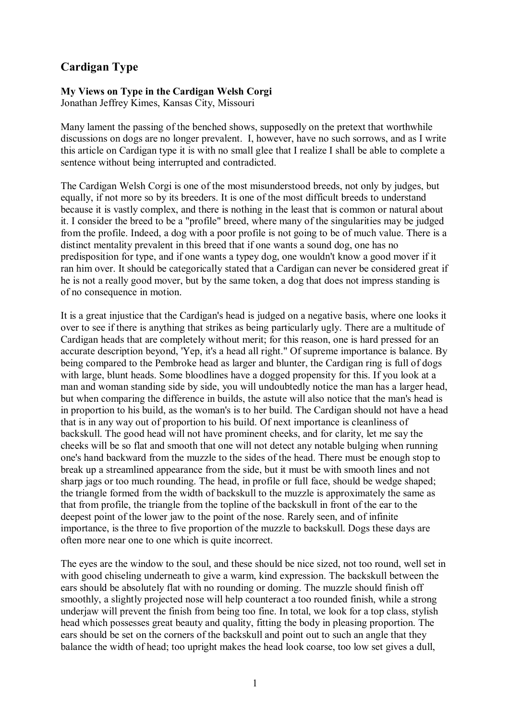## **Cardigan Type**

## **My Views on Type in the Cardigan Welsh Corgi**

Jonathan Jeffrey Kimes, Kansas City, Missouri

Many lament the passing of the benched shows, supposedly on the pretext that worthwhile discussions on dogs are no longer prevalent. I, however, have no such sorrows, and as I write this article on Cardigan type it is with no small glee that I realize I shall be able to complete a sentence without being interrupted and contradicted.

The Cardigan Welsh Corgi is one of the most misunderstood breeds, not only by judges, but equally, if not more so by its breeders. It is one of the most difficult breeds to understand because it is vastly complex, and there is nothing in the least that is common or natural about it. I consider the breed to be a "profile" breed, where many of the singularities may be judged from the profile. Indeed, a dog with a poor profile is not going to be of much value. There is a distinct mentality prevalent in this breed that if one wants a sound dog, one has no predisposition for type, and if one wants a typey dog, one wouldn't know a good mover if it ran him over. It should be categorically stated that a Cardigan can never be considered great if he is not a really good mover, but by the same token, a dog that does not impress standing is of no consequence in motion.

It is a great injustice that the Cardigan's head is judged on a negative basis, where one looks it over to see if there is anything that strikes as being particularly ugly. There are a multitude of Cardigan heads that are completely without merit; for this reason, one is hard pressed for an accurate description beyond, 'Yep, it's a head all right." Of supreme importance is balance. By being compared to the Pembroke head as larger and blunter, the Cardigan ring is full of dogs with large, blunt heads. Some bloodlines have a dogged propensity for this. If you look at a man and woman standing side by side, you will undoubtedly notice the man has a larger head, but when comparing the difference in builds, the astute will also notice that the man's head is in proportion to his build, as the woman's is to her build. The Cardigan should not have a head that is in any way out of proportion to his build. Of next importance is cleanliness of backskull. The good head will not have prominent cheeks, and for clarity, let me say the cheeks will be so flat and smooth that one will not detect any notable bulging when running one's hand backward from the muzzle to the sides of the head. There must be enough stop to break up a streamlined appearance from the side, but it must be with smooth lines and not sharp jags or too much rounding. The head, in profile or full face, should be wedge shaped; the triangle formed from the width of backskull to the muzzle is approximately the same as that from profile, the triangle from the topline of the backskull in front of the ear to the deepest point of the lower jaw to the point of the nose. Rarely seen, and of infinite importance, is the three to five proportion of the muzzle to backskull. Dogs these days are often more near one to one which is quite incorrect.

The eyes are the window to the soul, and these should be nice sized, not too round, well set in with good chiseling underneath to give a warm, kind expression. The backskull between the ears should be absolutely flat with no rounding or doming. The muzzle should finish off smoothly, a slightly projected nose will help counteract a too rounded finish, while a strong underjaw will prevent the finish from being too fine. In total, we look for a top class, stylish head which possesses great beauty and quality, fitting the body in pleasing proportion. The ears should be set on the corners of the backskull and point out to such an angle that they balance the width of head; too upright makes the head look coarse, too low set gives a dull,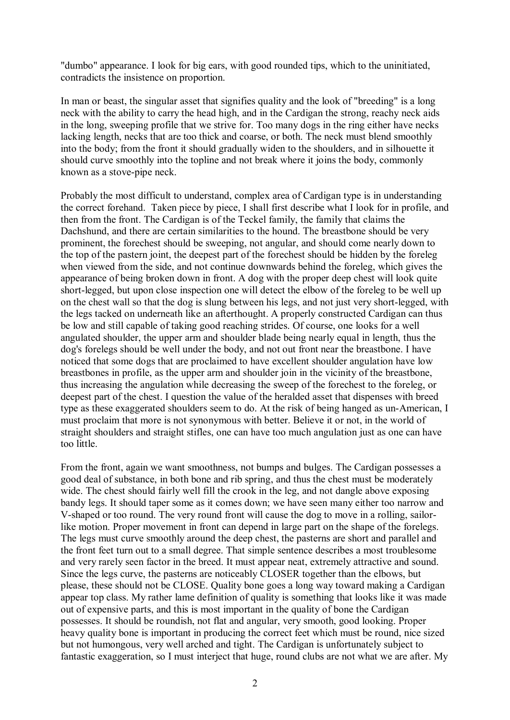"dumbo" appearance. I look for big ears, with good rounded tips, which to the uninitiated, contradicts the insistence on proportion.

In man or beast, the singular asset that signifies quality and the look of "breeding" is a long neck with the ability to carry the head high, and in the Cardigan the strong, reachy neck aids in the long, sweeping profile that we strive for. Too many dogs in the ring either have necks lacking length, necks that are too thick and coarse, or both. The neck must blend smoothly into the body; from the front it should gradually widen to the shoulders, and in silhouette it should curve smoothly into the topline and not break where it joins the body, commonly known as a stove-pipe neck.

Probably the most difficult to understand, complex area of Cardigan type is in understanding the correct forehand. Taken piece by piece, I shall first describe what I look for in profile, and then from the front. The Cardigan is of the Teckel family, the family that claims the Dachshund, and there are certain similarities to the hound. The breastbone should be very prominent, the forechest should be sweeping, not angular, and should come nearly down to the top of the pastern joint, the deepest part of the forechest should be hidden by the foreleg when viewed from the side, and not continue downwards behind the foreleg, which gives the appearance of being broken down in front. A dog with the proper deep chest will look quite short-legged, but upon close inspection one will detect the elbow of the foreleg to be well up on the chest wall so that the dog is slung between his legs, and not just very short-legged, with the legs tacked on underneath like an afterthought. A properly constructed Cardigan can thus be low and still capable of taking good reaching strides. Of course, one looks for a well angulated shoulder, the upper arm and shoulder blade being nearly equal in length, thus the dog's forelegs should be well under the body, and not out front near the breastbone. I have noticed that some dogs that are proclaimed to have excellent shoulder angulation have low breastbones in profile, as the upper arm and shoulder join in the vicinity of the breastbone, thus increasing the angulation while decreasing the sweep of the forechest to the foreleg, or deepest part of the chest. I question the value of the heralded asset that dispenses with breed type as these exaggerated shoulders seem to do. At the risk of being hanged as un-American, I must proclaim that more is not synonymous with better. Believe it or not, in the world of straight shoulders and straight stifles, one can have too much angulation just as one can have too little.

From the front, again we want smoothness, not bumps and bulges. The Cardigan possesses a good deal of substance, in both bone and rib spring, and thus the chest must be moderately wide. The chest should fairly well fill the crook in the leg, and not dangle above exposing bandy legs. It should taper some as it comes down; we have seen many either too narrow and V-shaped or too round. The very round front will cause the dog to move in a rolling, sailorlike motion. Proper movement in front can depend in large part on the shape of the forelegs. The legs must curve smoothly around the deep chest, the pasterns are short and parallel and the front feet turn out to a small degree. That simple sentence describes a most troublesome and very rarely seen factor in the breed. It must appear neat, extremely attractive and sound. Since the legs curve, the pasterns are noticeably CLOSER together than the elbows, but please, these should not be CLOSE. Quality bone goes a long way toward making a Cardigan appear top class. My rather lame definition of quality is something that looks like it was made out of expensive parts, and this is most important in the quality of bone the Cardigan possesses. It should be roundish, not flat and angular, very smooth, good looking. Proper heavy quality bone is important in producing the correct feet which must be round, nice sized but not humongous, very well arched and tight. The Cardigan is unfortunately subject to fantastic exaggeration, so I must interject that huge, round clubs are not what we are after. My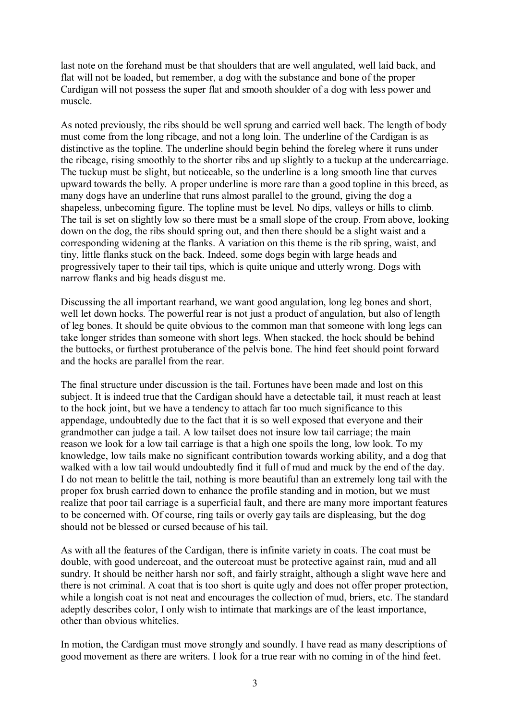last note on the forehand must be that shoulders that are well angulated, well laid back, and flat will not be loaded, but remember, a dog with the substance and bone of the proper Cardigan will not possess the super flat and smooth shoulder of a dog with less power and muscle.

As noted previously, the ribs should be well sprung and carried well back. The length of body must come from the long ribcage, and not a long loin. The underline of the Cardigan is as distinctive as the topline. The underline should begin behind the foreleg where it runs under the ribcage, rising smoothly to the shorter ribs and up slightly to a tuckup at the undercarriage. The tuckup must be slight, but noticeable, so the underline is a long smooth line that curves upward towards the belly. A proper underline is more rare than a good topline in this breed, as many dogs have an underline that runs almost parallel to the ground, giving the dog a shapeless, unbecoming figure. The topline must be level. No dips, valleys or hills to climb. The tail is set on slightly low so there must be a small slope of the croup. From above, looking down on the dog, the ribs should spring out, and then there should be a slight waist and a corresponding widening at the flanks. A variation on this theme is the rib spring, waist, and tiny, little flanks stuck on the back. Indeed, some dogs begin with large heads and progressively taper to their tail tips, which is quite unique and utterly wrong. Dogs with narrow flanks and big heads disgust me.

Discussing the all important rearhand, we want good angulation, long leg bones and short, well let down hocks. The powerful rear is not just a product of angulation, but also of length of leg bones. It should be quite obvious to the common man that someone with long legs can take longer strides than someone with short legs. When stacked, the hock should be behind the buttocks, or furthest protuberance of the pelvis bone. The hind feet should point forward and the hocks are parallel from the rear.

The final structure under discussion is the tail. Fortunes have been made and lost on this subject. It is indeed true that the Cardigan should have a detectable tail, it must reach at least to the hock joint, but we have a tendency to attach far too much significance to this appendage, undoubtedly due to the fact that it is so well exposed that everyone and their grandmother can judge a tail. A low tailset does not insure low tail carriage; the main reason we look for a low tail carriage is that a high one spoils the long, low look. To my knowledge, low tails make no significant contribution towards working ability, and a dog that walked with a low tail would undoubtedly find it full of mud and muck by the end of the day. I do not mean to belittle the tail, nothing is more beautiful than an extremely long tail with the proper fox brush carried down to enhance the profile standing and in motion, but we must realize that poor tail carriage is a superficial fault, and there are many more important features to be concerned with. Of course, ring tails or overly gay tails are displeasing, but the dog should not be blessed or cursed because of his tail.

As with all the features of the Cardigan, there is infinite variety in coats. The coat must be double, with good undercoat, and the outercoat must be protective against rain, mud and all sundry. It should be neither harsh nor soft, and fairly straight, although a slight wave here and there is not criminal. A coat that is too short is quite ugly and does not offer proper protection, while a longish coat is not neat and encourages the collection of mud, briers, etc. The standard adeptly describes color, I only wish to intimate that markings are of the least importance, other than obvious whitelies.

In motion, the Cardigan must move strongly and soundly. I have read as many descriptions of good movement as there are writers. I look for a true rear with no coming in of the hind feet.